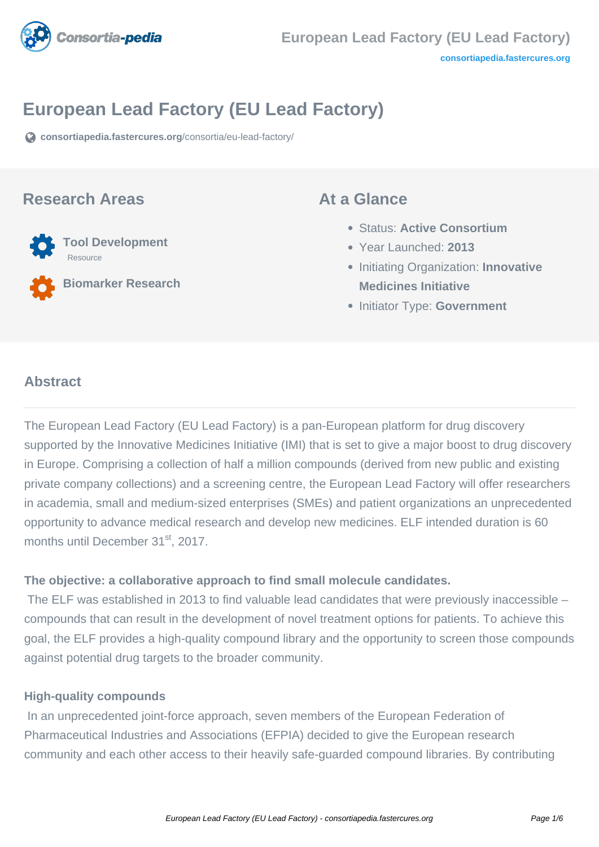

# **European Lead Factory (EU Lead Factory)**

**[consortiapedia.fastercures.org](https://consortiapedia.fastercures.org/consortia/eu-lead-factory/)**[/consortia/eu-lead-factory/](https://consortiapedia.fastercures.org/consortia/eu-lead-factory/)

## **Research Areas**



**Biomarker Research**

## **At a Glance**

- Status: **Active Consortium**
- Year Launched: **2013**
- **Initiating Organization: Innovative Medicines Initiative**
- **Initiator Type: Government**

### $\overline{a}$ **Abstract**

The European Lead Factory (EU Lead Factory) is a pan-European platform for drug discovery supported by the Innovative Medicines Initiative (IMI) that is set to give a major boost to drug discovery in Europe. Comprising a collection of half a million compounds (derived from new public and existing private company collections) and a screening centre, the European Lead Factory will offer researchers in academia, small and medium-sized enterprises (SMEs) and patient organizations an unprecedented opportunity to advance medical research and develop new medicines. ELF intended duration is 60 months until December 31<sup>st</sup>, 2017.

### **The objective: a collaborative approach to find small molecule candidates.**

 The ELF was established in 2013 to find valuable lead candidates that were previously inaccessible – compounds that can result in the development of novel treatment options for patients. To achieve this goal, the ELF provides a high-quality compound library and the opportunity to screen those compounds against potential drug targets to the broader community.

### **High-quality compounds**

 In an unprecedented joint-force approach, seven members of the European Federation of Pharmaceutical Industries and Associations (EFPIA) decided to give the European research community and each other access to their heavily safe-guarded compound libraries. By contributing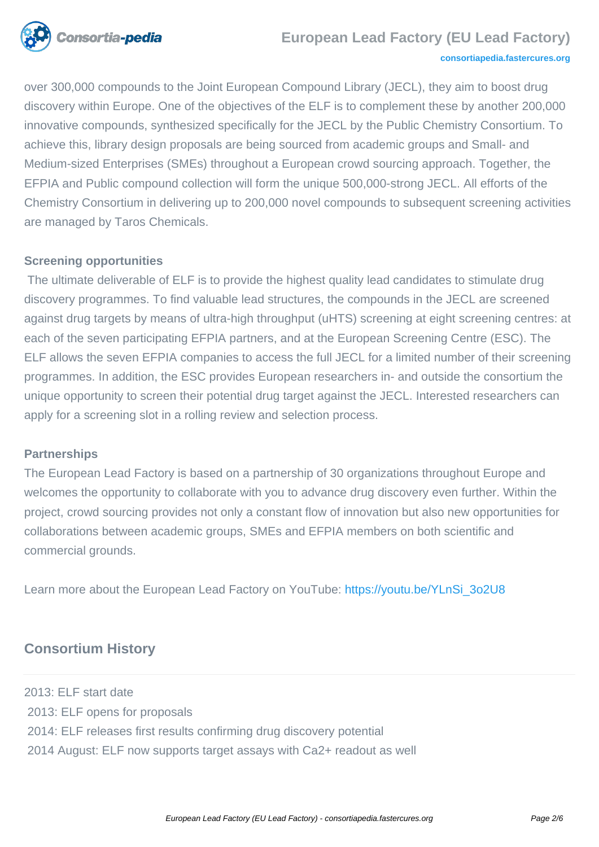

## **European Lead Factory (EU Lead Factory)**

#### **[consortiapedia.fastercures.org](http://consortiapedia.fastercures.org/)**

over 300,000 compounds to the Joint European Compound Library (JECL), they aim to boost drug discovery within Europe. One of the objectives of the ELF is to complement these by another 200,000 innovative compounds, synthesized specifically for the JECL by the Public Chemistry Consortium. To achieve this, library design proposals are being sourced from academic groups and Small- and Medium-sized Enterprises (SMEs) throughout a European crowd sourcing approach. Together, the EFPIA and Public compound collection will form the unique 500,000-strong JECL. All efforts of the Chemistry Consortium in delivering up to 200,000 novel compounds to subsequent screening activities are managed by Taros Chemicals.

### **Screening opportunities**

 The ultimate deliverable of ELF is to provide the highest quality lead candidates to stimulate drug discovery programmes. To find valuable lead structures, the compounds in the JECL are screened against drug targets by means of ultra-high throughput (uHTS) screening at eight screening centres: at each of the seven participating EFPIA partners, and at the European Screening Centre (ESC). The ELF allows the seven EFPIA companies to access the full JECL for a limited number of their screening programmes. In addition, the ESC provides European researchers in- and outside the consortium the unique opportunity to screen their potential drug target against the JECL. Interested researchers can apply for a screening slot in a rolling review and selection process.

### **Partnerships**

The European Lead Factory is based on a partnership of 30 organizations throughout Europe and welcomes the opportunity to collaborate with you to advance drug discovery even further. Within the project, crowd sourcing provides not only a constant flow of innovation but also new opportunities for collaborations between academic groups, SMEs and EFPIA members on both scientific and commercial grounds.

Learn more about the European Lead Factory on YouTube: [https://youtu.be/YLnSi\\_3o2U8](https://urldefense.proofpoint.com/v2/url?u=https-3A__youtu.be_YLnSi-5F3o2U8&d=CwMFaQ&c=UtbViGLMoQq17uDUqpM_9A&r=mw_AGcvV7TpIKtlKwWYZVtnjZJdnkm5TEfMuAJfm3Z0&m=sXUw2abPHd8NwmyLC9MZDQH8y8f2BwIkqIh5Z2NqLyE&s=1ollG6TWuo7DWZOiFdkWQ452zA_ix-WIB3TyGFyrGdw&e=)

## **Consortium History**

2013: ELF start date 2013: ELF opens for proposals 2014: ELF releases first results confirming drug discovery potential 2014 August: ELF now supports target assays with Ca2+ readout as well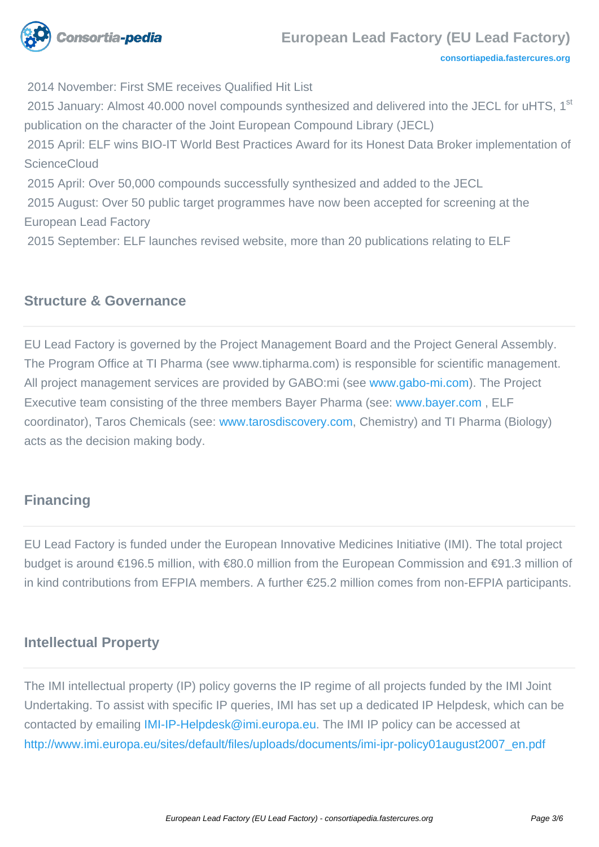

**[consortiapedia.fastercures.org](http://consortiapedia.fastercures.org/)**

2014 November: First SME receives Qualified Hit List

2015 January: Almost 40.000 novel compounds synthesized and delivered into the JECL for uHTS, 1<sup>st</sup> publication on the character of the Joint European Compound Library (JECL)

 2015 April: ELF wins BIO-IT World Best Practices Award for its Honest Data Broker implementation of **ScienceCloud** 

 2015 April: Over 50,000 compounds successfully synthesized and added to the JECL 2015 August: Over 50 public target programmes have now been accepted for screening at the

European Lead Factory

2015 September: ELF launches revised website, more than 20 publications relating to ELF

## **Structure & Governance**

EU Lead Factory is governed by the Project Management Board and the Project General Assembly. The Program Office at TI Pharma (see www.tipharma.com) is responsible for scientific management. All project management services are provided by GABO:mi (see [www.gabo-mi.com](http://www.gabo-mi.com)). The Project Executive team consisting of the three members Bayer Pharma (see: [www.bayer.com](https://urldefense.proofpoint.com/v2/url?u=http-3A__www.bayer.com&d=CwMGaQ&c=UtbViGLMoQq17uDUqpM_9A&r=mw_AGcvV7TpIKtlKwWYZVtnjZJdnkm5TEfMuAJfm3Z0&m=ic98bK5XDl0eM6wg9p10p36zsg606AO3UmnMMjVlT20&s=5oqsIWAyOIzfj0GbfOTWb2EUcHLFGopDiBfCVRcEFrA&e=) , ELF coordinator), Taros Chemicals (see: [www.tarosdiscovery.com,](https://urldefense.proofpoint.com/v2/url?u=http-3A__www.tarosdiscovery.com&d=CwMFaQ&c=UtbViGLMoQq17uDUqpM_9A&r=mw_AGcvV7TpIKtlKwWYZVtnjZJdnkm5TEfMuAJfm3Z0&m=sXUw2abPHd8NwmyLC9MZDQH8y8f2BwIkqIh5Z2NqLyE&s=uFQGb3IK1emsCKUqnX_cur69zo0r8WxlEY8ht0mASxA&e=) Chemistry) and TI Pharma (Biology) acts as the decision making body.

# **Financing**

EU Lead Factory is funded under the European Innovative Medicines Initiative (IMI). The total project budget is around €196.5 million, with €80.0 million from the European Commission and €91.3 million of in kind contributions from EFPIA members. A further €25.2 million comes from non-EFPIA participants.

# **Intellectual Property**

The IMI intellectual property (IP) policy governs the IP regime of all projects funded by the IMI Joint Undertaking. To assist with specific IP queries, IMI has set up a dedicated IP Helpdesk, which can be contacted by emailing [IMI-IP-Helpdesk@imi.europa.eu](mailto:IMI-IP-Helpdesk@imi.europa.eu). The IMI IP policy can be accessed at [http://www.imi.europa.eu/sites/default/files/uploads/documents/imi-ipr-policy01august2007\\_en.pdf](http://www.imi.europa.eu/sites/default/files/uploads/documents/imi-ipr-policy01august2007_en.pdf)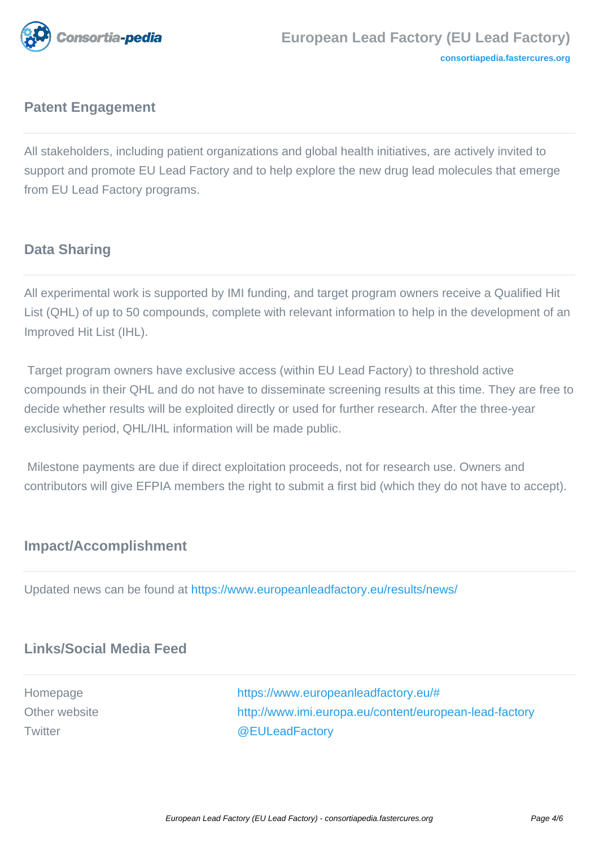

# **Patent Engagement**

All stakeholders, including patient organizations and global health initiatives, are actively invited to support and promote EU Lead Factory and to help explore the new drug lead molecules that emerge from EU Lead Factory programs.

# **Data Sharing**

All experimental work is supported by IMI funding, and target program owners receive a Qualified Hit List (QHL) of up to 50 compounds, complete with relevant information to help in the development of an Improved Hit List (IHL).

 Target program owners have exclusive access (within EU Lead Factory) to threshold active compounds in their QHL and do not have to disseminate screening results at this time. They are free to decide whether results will be exploited directly or used for further research. After the three-year exclusivity period, QHL/IHL information will be made public.

 Milestone payments are due if direct exploitation proceeds, not for research use. Owners and contributors will give EFPIA members the right to submit a first bid (which they do not have to accept).

# **Impact/Accomplishment**

Updated news can be found at [https://www.europeanleadfactory.eu/results/news/](https://urldefense.proofpoint.com/v2/url?u=https-3A__www.europeanleadfactory.eu_results_news_&d=CQMFAg&c=UtbViGLMoQq17uDUqpM_9A&r=mw_AGcvV7TpIKtlKwWYZVtnjZJdnkm5TEfMuAJfm3Z0&m=Llb0imVmuwfgMyCXs77tftMln8rfuex9kjDWA-b2kv0&s=D5STydRSwWWL94Nogk63yX6h3o7UL-QuE-EU2X22ZOI&e=)

# **Links/Social Media Feed**

Homepage [https://www.europeanleadfactory.eu/#](https://www.europeanleadfactory.eu/) Other website **<http://www.imi.europa.eu/content/european-lead-factory>** Twitter [@EULeadFactory](https://twitter.com/euleadfactory)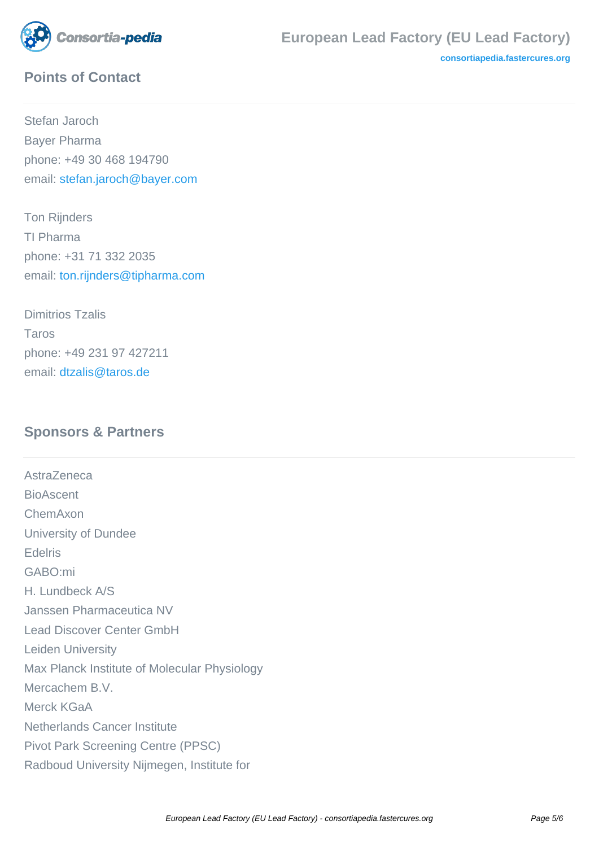

**[consortiapedia.fastercures.org](http://consortiapedia.fastercures.org/)**

# **Points of Contact**

Stefan Jaroch Bayer Pharma phone: +49 30 468 194790 email: [stefan.jaroch@bayer.com](mailto:stefan.jaroch@bayer.com)

Ton Rijnders TI Pharma phone: +31 71 332 2035 email: [ton.rijnders@tipharma.com](mailto:ton.rijnders@tipharma.com)

Dimitrios Tzalis Taros phone: +49 231 97 427211 email: [dtzalis@taros.de](mailto:dtzalis@taros.de)

# **Sponsors & Partners**

**AstraZeneca** BioAscent ChemAxon University of Dundee Edelris GABO:mi H. Lundbeck A/S Janssen Pharmaceutica NV Lead Discover Center GmbH Leiden University Max Planck Institute of Molecular Physiology Mercachem B.V. Merck KGaA Netherlands Cancer Institute Pivot Park Screening Centre (PPSC) Radboud University Nijmegen, Institute for